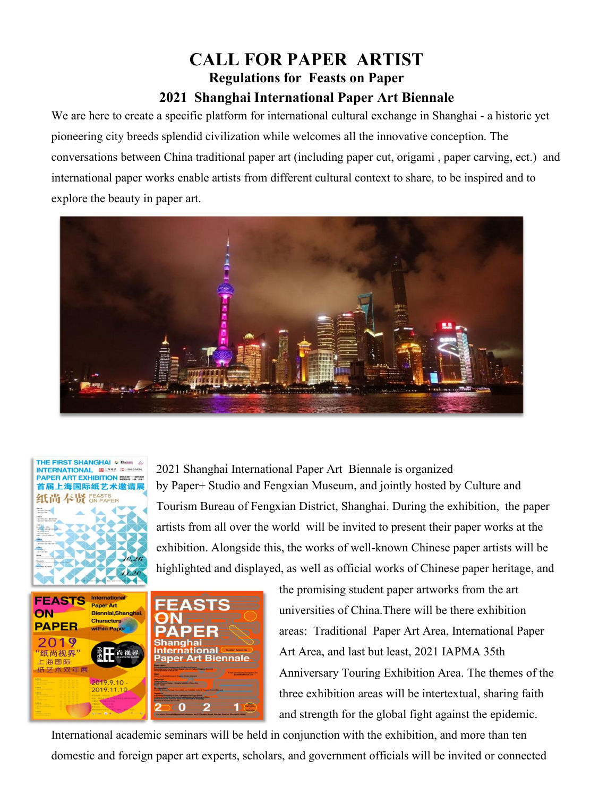# **CALL FOR PAPER ARTIST Regulations for Feasts on Paper 2021 Shanghai International Paper Art Biennale**

We are here to create a specific platform for international cultural exchange in Shanghai - a historic yet pioneering city breeds splendid civilization while welcomes all the innovative conception. The conversations between China traditional paper art (including paper cut, origami, paper carving, ect.) and international paper works enable artists from different cultural context to share, to be inspired and to explore the beauty in paper art.









the promising student paper artworks from the art universities ofChina.There will be there exhibition areas: Traditional Paper Art Area, International Paper Art Area, and last but least, 2021 IAPMA 35th Anniversary Touring Exhibition Area. The themes of the three exhibition areas will be intertextual, sharing faith and strength for the global fight against the epidemic.

International academic seminars will be held in conjunction with the exhibition, and more than ten domestic and foreign paper art experts, scholars, and government officials will be invited or connected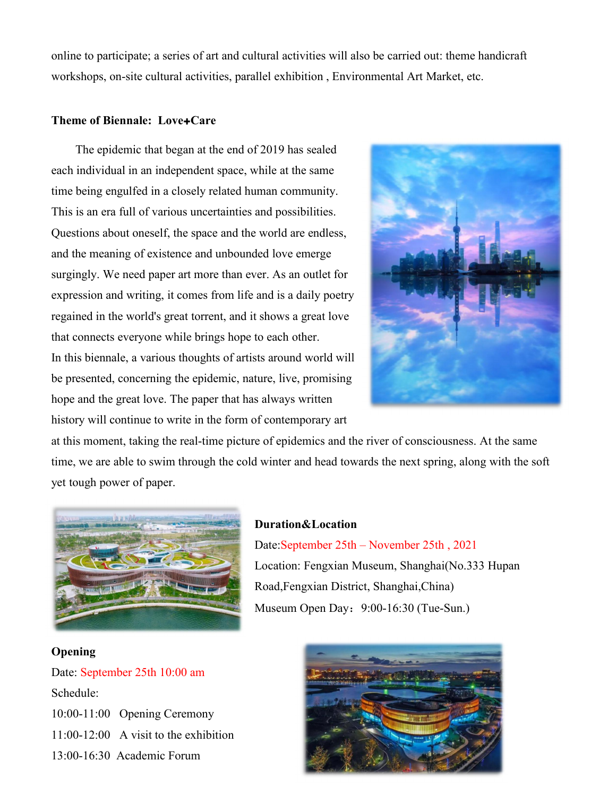online to participate; a series ofart and cultural activities will also be carried out: theme handicraft workshops, on-site cultural activities, parallel exhibition , Environmental Art Market, etc.

#### **Theme of Biennale: Love**+**Care**

The epidemic that began at the end of 2019 has sealed each individual in an independent space, while at the same time being engulfed in a closely related human community. This is an era full of various uncertainties and possibilities. Questions about oneself, the space and the world are endless, and the meaning of existence and unbounded love emerge surgingly. We need paper art more than ever. As an outlet for expression and writing, it comes from life and is a daily poetry regained in the world's great torrent, and it shows a great love that connects everyone while brings hope to each other. In this biennale, a various thoughts of artists around world will be presented, concerning the epidemic, nature, live, promising hope and the great love. The paper that has always written history will continue to write in the form of contemporary art



at this moment, taking the real-time picture of epidemics and the river of consciousness. At the same time, we are able to swim through the cold winter and head towards the next spring, along with the soft yet tough power of paper.



#### **Duration&Location**

Date:September 25th – November 25th , 2021 Location: Fengxian Museum, Shanghai(No.333 Hupan Road,Fengxian District, Shanghai,China) Museum Open Day: 9:00-16:30 (Tue-Sun.)

# **Opening**

Date: September 25th 10:00 am Schedule: 10:00-11:00 Opening Ceremony 11:00-12:00 A visit to the exhibition 13:00-16:30 Academic Forum

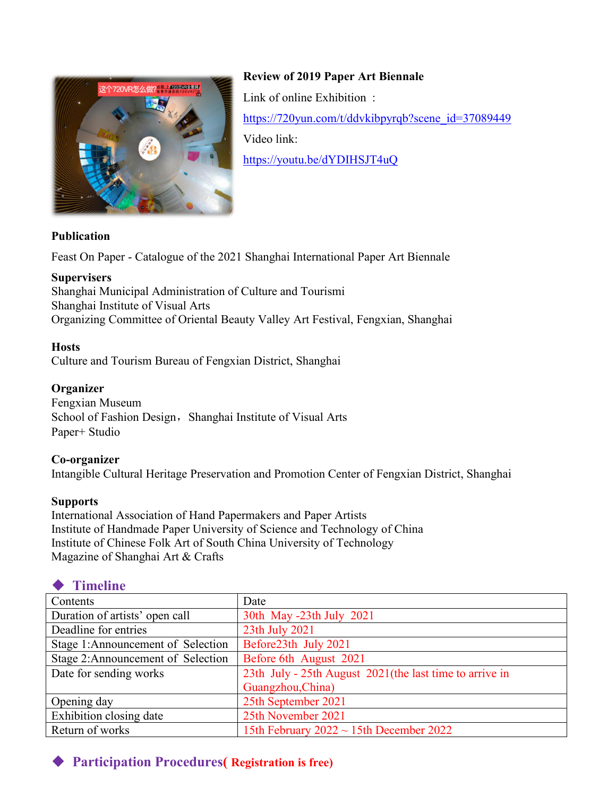

**Review of 2019 Paper Art Biennale** Link of online Exhibition : [https://720yun.com/t/ddvkibpyrqb?scene\\_id=37089449](https://720yun.com/t/ddvkibpyrqb?scene_id=37089449) Video link: <https://youtu.be/dYDIHSJT4uQ>

### **Publication**

Feast On Paper - Catalogue of the 2021 Shanghai International Paper Art Biennale

### **Supervisers**

Shanghai Municipal Administration of Culture and Tourismi Shanghai Institute of Visual Arts Organizing Committee of Oriental Beauty Valley Art Festival, Fengxian, Shanghai

### **Hosts**

Culture and Tourism Bureau of Fengxian District, Shanghai

### **Organizer**

Fengxian Museum School of Fashion Design, Shanghai Institute of Visual Arts Paper+ Studio

### **Co-organizer**

Intangible Cultural Heritage Preservation and Promotion Center of Fengxian District, Shanghai

### **Supports**

International Association of Hand Papermakers and Paper Artists Institute of Handmade Paper University of Science and Technology of China Institute of Chinese Folk Art of South China University of Technology Magazine of Shanghai Art & Crafts

# **Timeline**

| Contents                          | Date                                                    |
|-----------------------------------|---------------------------------------------------------|
| Duration of artists' open call    | 30th May -23th July 2021                                |
| Deadline for entries              | 23th July 2021                                          |
| Stage 1:Announcement of Selection | Before23th July 2021                                    |
| Stage 2:Announcement of Selection | Before 6th August 2021                                  |
| Date for sending works            | 23th July - 25th August 2021(the last time to arrive in |
|                                   | Guangzhou, China)                                       |
| Opening day                       | 25th September 2021                                     |
| Exhibition closing date           | 25th November 2021                                      |
| Return of works                   | 15th February 2022 $\sim$ 15th December 2022            |

# **Participation Procedures( Registration is free)**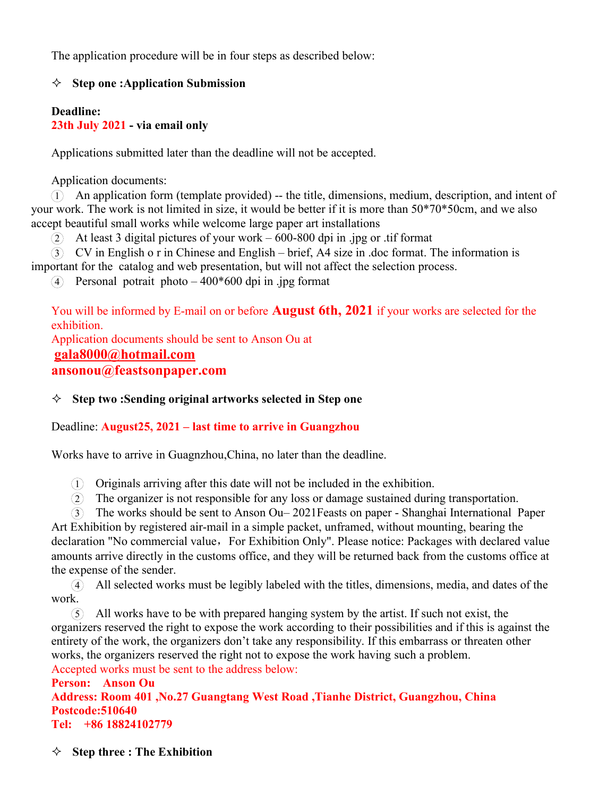The application procedure will be in four steps as described below:

### **Step one :Application Submission**

### **Deadline: 23th July 2021 - via email only**

Applications submitted later than the deadline will not be accepted.

Application documents:

1 An application form (template provided) -- the title, dimensions, medium, description, and intent of your work. The work is not limited in size, it would be better if it is more than 50\*70\*50cm, and we also accept beautiful small works while welcome large paper art installations > Step one : Application Submission<br>
23th July 2021 - via email only<br>
33th July 2021 - via email only<br>
Applications submitted later than the deadline will not be accepted.<br>
The application format is:<br>
work. The work is n **isthe catalog and the catalog and web presentation**, but will not be accepted.<br> **Application documents:**<br>
(D) An application form (template provided) - the title, dimensions, medium, description, and intent of your work

 $(2)$  At least 3 digital pictures of your work – 600-800 dpi in .jpg or .tif format

 $\widehat{4}$  Personal potrait photo – 400\*600 dpi in .jpg format

You will be informed by E-mail on or before **August 6th, 2021** if your works are selected for the exhibition. Application documents should be sent to Anson Ou at

**[gala8000@hotmail.com](mailto:gala8000@hotmail.com)**

**ansonou@feastsonpaper.com**

### **Step two :Sending original artworks selected in Step one**

### Deadline: **August25, 2021 – last time to arrive in Guangzhou**

Works have to arrive in Guagnzhou,China, no later than the deadline.

 $(1)$  Originals arriving after this date will not be included in the exhibition.

2 The organizer is not responsible for any loss ordamage sustained during transportation.

3 The works should be sent to Anson Ou– 2021Feasts on paper - Shanghai International Paper Art Exhibition by registered air-mail in a simple packet, unframed, without mounting, bearing the declaration "No commercial value, For Exhibition Only". Please notice: Packages with declared value amounts arrive directly in the customs office, and they will be returned back from the customs office at the expense of the sender.

(4) All selected works must be legibly labeled with the titles, dimensions, media, and dates of the work.

5 Allworks have to be with prepared hanging system by the artist. If such not exist, the organizers reserved the right to expose the work according to their possibilities and if this is against the entirety of the work, the organizers don't take any responsibility. If this embarrass or threaten other works, the organizers reserved the right not to expose the work having such a problem. Accepted works must be sent to the address below:

**Person: Anson Ou Address: Room 401 ,No.27 Guangtang West Road ,Tianhe District, Guangzhou, China Postcode:510640 Tel: +86 18824102779**

**Step three : The Exhibition**